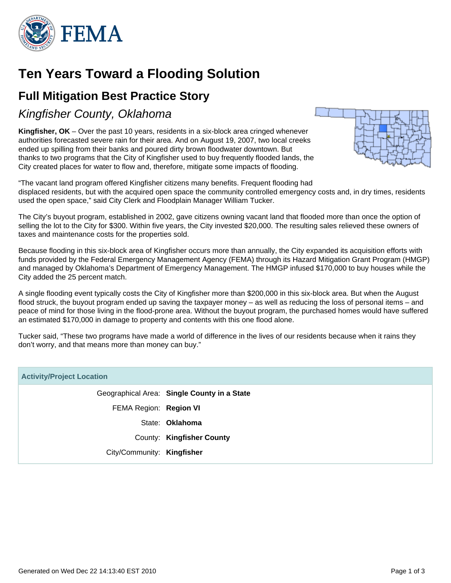

# **Ten Years Toward a Flooding Solution**

## **Full Mitigation Best Practice Story**

Kingfisher County, Oklahoma

**Kingfisher, OK** – Over the past 10 years, residents in a six-block area cringed whenever authorities forecasted severe rain for their area. And on August 19, 2007, two local creeks ended up spilling from their banks and poured dirty brown floodwater downtown. But thanks to two programs that the City of Kingfisher used to buy frequently flooded lands, the City created places for water to flow and, therefore, mitigate some impacts of flooding.



"The vacant land program offered Kingfisher citizens many benefits. Frequent flooding had displaced residents, but with the acquired open space the community controlled emergency costs and, in dry times, residents used the open space," said City Clerk and Floodplain Manager William Tucker.

The City's buyout program, established in 2002, gave citizens owning vacant land that flooded more than once the option of selling the lot to the City for \$300. Within five years, the City invested \$20,000. The resulting sales relieved these owners of taxes and maintenance costs for the properties sold.

Because flooding in this six-block area of Kingfisher occurs more than annually, the City expanded its acquisition efforts with funds provided by the Federal Emergency Management Agency (FEMA) through its Hazard Mitigation Grant Program (HMGP) and managed by Oklahoma's Department of Emergency Management. The HMGP infused \$170,000 to buy houses while the City added the 25 percent match.

A single flooding event typically costs the City of Kingfisher more than \$200,000 in this six-block area. But when the August flood struck, the buyout program ended up saving the taxpayer money – as well as reducing the loss of personal items – and peace of mind for those living in the flood-prone area. Without the buyout program, the purchased homes would have suffered an estimated \$170,000 in damage to property and contents with this one flood alone.

Tucker said, "These two programs have made a world of difference in the lives of our residents because when it rains they don't worry, and that means more than money can buy."

| <b>Activity/Project Location</b> |                                             |
|----------------------------------|---------------------------------------------|
|                                  | Geographical Area: Single County in a State |
| FEMA Region: Region VI           |                                             |
|                                  | State: Oklahoma                             |
|                                  | County: Kingfisher County                   |
| City/Community: Kingfisher       |                                             |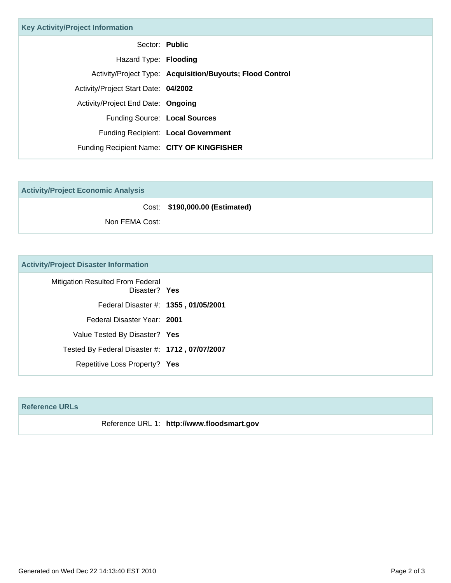| <b>Key Activity/Project Information</b>    |                                                           |
|--------------------------------------------|-----------------------------------------------------------|
|                                            | Sector: Public                                            |
| Hazard Type: Flooding                      |                                                           |
|                                            | Activity/Project Type: Acquisition/Buyouts; Flood Control |
| Activity/Project Start Date: 04/2002       |                                                           |
| Activity/Project End Date: Ongoing         |                                                           |
| Funding Source: Local Sources              |                                                           |
|                                            | Funding Recipient: Local Government                       |
| Funding Recipient Name: CITY OF KINGFISHER |                                                           |

| <b>Activity/Project Economic Analysis</b> |                                |
|-------------------------------------------|--------------------------------|
|                                           | Cost: \$190,000.00 (Estimated) |
| Non FEMA Cost:                            |                                |

### **Activity/Project Disaster Information**

| Mitigation Resulted From Federal<br>Disaster? Yes |
|---------------------------------------------------|
| Federal Disaster #: 1355, 01/05/2001              |
| Federal Disaster Year: 2001                       |
| Value Tested By Disaster? Yes                     |
| Tested By Federal Disaster #: 1712, 07/07/2007    |
| Repetitive Loss Property? Yes                     |

#### **Reference URLs**

Reference URL 1: **http://www.floodsmart.gov**